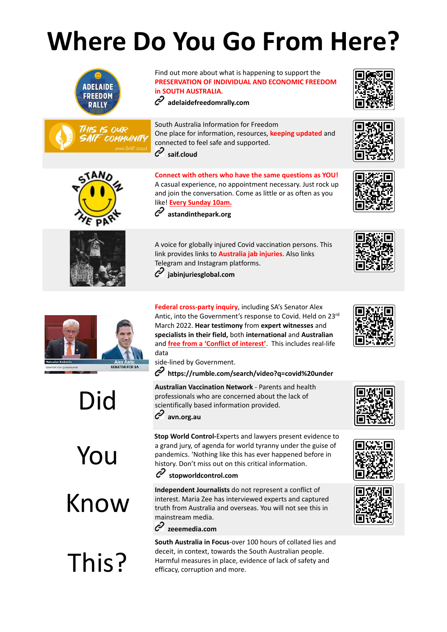## **Where Do You Go From Here?**